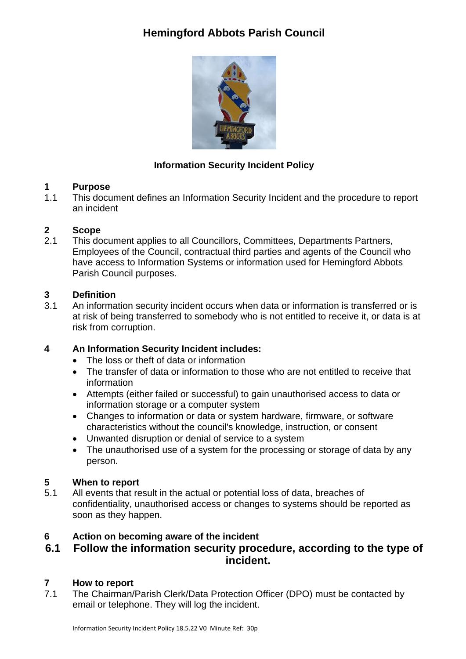# **Hemingford Abbots Parish Council**



## **Information Security Incident Policy**

# **1 Purpose**<br>**1.1** This docu

This document defines an Information Security Incident and the procedure to report an incident

### **2 Scope**

2.1 This document applies to all Councillors, Committees, Departments Partners, Employees of the Council, contractual third parties and agents of the Council who have access to Information Systems or information used for Hemingford Abbots Parish Council purposes.

# **3 Definition**

3.1 An information security incident occurs when data or information is transferred or is at risk of being transferred to somebody who is not entitled to receive it, or data is at risk from corruption.

## **4 An Information Security Incident includes:**

- The loss or theft of data or information
- The transfer of data or information to those who are not entitled to receive that information
- Attempts (either failed or successful) to gain unauthorised access to data or information storage or a computer system
- Changes to information or data or system hardware, firmware, or software characteristics without the council's knowledge, instruction, or consent
- Unwanted disruption or denial of service to a system
- The unauthorised use of a system for the processing or storage of data by any person.

## **5 When to report**

5.1 All events that result in the actual or potential loss of data, breaches of confidentiality, unauthorised access or changes to systems should be reported as soon as they happen.

## **6 Action on becoming aware of the incident**

## **6.1 Follow the information security procedure, according to the type of incident.**

## **7 How to report**

7.1 The Chairman/Parish Clerk/Data Protection Officer (DPO) must be contacted by email or telephone. They will log the incident.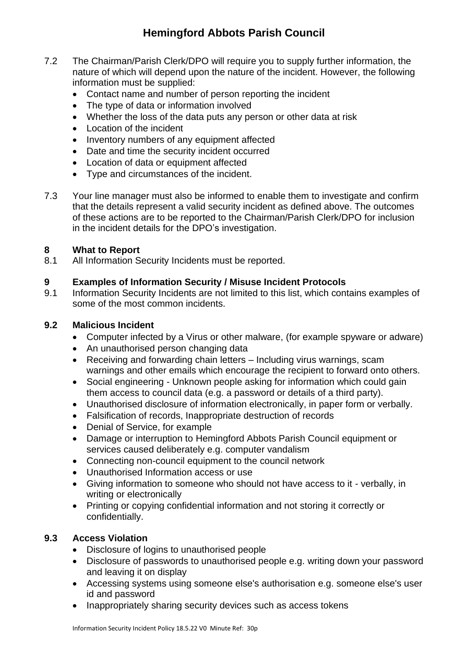## **Hemingford Abbots Parish Council**

- 7.2 The Chairman/Parish Clerk/DPO will require you to supply further information, the nature of which will depend upon the nature of the incident. However, the following information must be supplied:
	- Contact name and number of person reporting the incident
	- The type of data or information involved
	- Whether the loss of the data puts any person or other data at risk
	- Location of the incident
	- Inventory numbers of any equipment affected
	- Date and time the security incident occurred
	- Location of data or equipment affected
	- Type and circumstances of the incident.
- 7.3 Your line manager must also be informed to enable them to investigate and confirm that the details represent a valid security incident as defined above. The outcomes of these actions are to be reported to the Chairman/Parish Clerk/DPO for inclusion in the incident details for the DPO's investigation.

#### **8 What to Report**

8.1 All Information Security Incidents must be reported.

#### **9 Examples of Information Security / Misuse Incident Protocols**

9.1 Information Security Incidents are not limited to this list, which contains examples of some of the most common incidents.

#### **9.2 Malicious Incident**

- Computer infected by a Virus or other malware, (for example spyware or adware)
- An unauthorised person changing data
- Receiving and forwarding chain letters Including virus warnings, scam warnings and other emails which encourage the recipient to forward onto others.
- Social engineering Unknown people asking for information which could gain them access to council data (e.g. a password or details of a third party).
- Unauthorised disclosure of information electronically, in paper form or verbally.
- Falsification of records, Inappropriate destruction of records
- Denial of Service, for example
- Damage or interruption to Hemingford Abbots Parish Council equipment or services caused deliberately e.g. computer vandalism
- Connecting non-council equipment to the council network
- Unauthorised Information access or use
- Giving information to someone who should not have access to it verbally, in writing or electronically
- Printing or copying confidential information and not storing it correctly or confidentially.

#### **9.3 Access Violation**

- Disclosure of logins to unauthorised people
- Disclosure of passwords to unauthorised people e.g. writing down your password and leaving it on display
- Accessing systems using someone else's authorisation e.g. someone else's user id and password
- Inappropriately sharing security devices such as access tokens